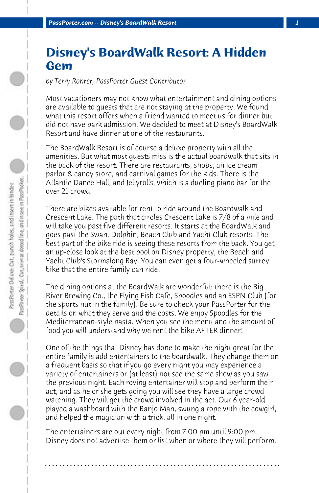## **Disney's BoardWalk Resort: A Hidden Gem**

*by Terry Rohrer, PassPorter Guest Contributor*

Most vacationers may not know what entertainment and dining options are available to guests that are not staying at the property. We found what this resort offers when a friend wanted to meet us for dinner but did not have park admission. We decided to meet at Disney's BoardWalk Resort and have dinner at one of the restaurants.

The BoardWalk Resort is of course a deluxe property with all the amenities. But what most guests miss is the actual boardwalk that sits in the back of the resort. There are restaurants, shops, an ice cream parlor & candy store, and carnival games for the kids. There is the Atlantic Dance Hall, and Jellyrolls, which is a dueling piano bar for the over 21 crowd.

There are bikes available for rent to ride around the Boardwalk and Crescent Lake. The path that circles Crescent Lake is 7/8 of a mile and will take you past five different resorts. It starts at the BoardWalk and goes past the Swan, Dolphin, Beach Club and Yacht Club resorts. The best part of the bike ride is seeing these resorts from the back. You get an up-close look at the best pool on Disney property, the Beach and Yacht Club's Stormalong Bay. You can even get a four-wheeled surrey bike that the entire family can ride!

The dining options at the BoardWalk are wonderful: there is the Big River Brewing Co., the Flying Fish Cafe, Spoodles and an ESPN Club (for the sports nut in the family). Be sure to check your PassPorter for the details on what they serve and the costs. We enjoy Spoodles for the Mediterranean-style pasta. When you see the menu and the amount of food you will understand why we rent the bike AFTER dinner!

One of the things that Disney has done to make the night great for the entire family is add entertainers to the boardwalk. They change them on a frequent basis so that if you go every night you may experience a variety of entertainers or (at least) not see the same show as you saw the previous night. Each roving entertainer will stop and perform their act, and as he or she gets going you will see they have a large crowd watching. They will get the crowd involved in the act. Our 6 year-old played a washboard with the Banjo Man, swung a rope with the cowgirl, and helped the magician with a trick, all in one night.

The entertainers are out every night from 7:00 pm until 9:00 pm. Disney does not advertise them or list when or where they will perform,

**. . . . . . . . . . . . . . . . . . . . . . . . . . . . . . . . . . . . . . . . . . . . . . . . . . . . . . . . . . . . . . . . . .**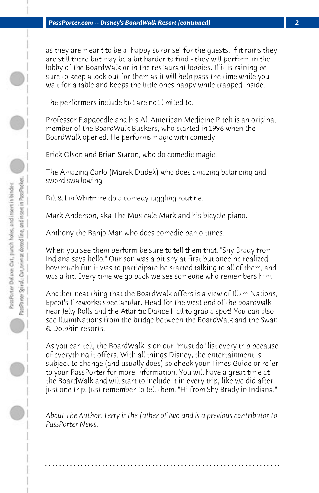as they are meant to be a "happy surprise" for the guests. If it rains they are still there but may be a bit harder to find - they will perform in the lobby of the BoardWalk or in the restaurant lobbies. If it is raining be sure to keep a look out for them as it will help pass the time while you wait for a table and keeps the little ones happy while trapped inside.

The performers include but are not limited to:

Professor Flapdoodle and his All American Medicine Pitch is an original member of the BoardWalk Buskers, who started in 1996 when the BoardWalk opened. He performs magic with comedy.

Erick Olson and Brian Staron, who do comedic magic.

The Amazing Carlo (Marek Dudek) who does amazing balancing and sword swallowing.

Bill & Lin Whitmire do a comedy juggling routine.

Mark Anderson, aka The Musicale Mark and his bicycle piano.

Anthony the Banjo Man who does comedic banjo tunes.

When you see them perform be sure to tell them that, "Shy Brady from Indiana says hello." Our son was a bit shy at first but once he realized how much fun it was to participate he started talking to all of them, and was a hit. Every time we go back we see someone who remembers him.

Another neat thing that the BoardWalk offers is a view of IllumiNations, Epcot's fireworks spectacular. Head for the west end of the boardwalk near Jelly Rolls and the Atlantic Dance Hall to grab a spot! You can also see IllumiNations from the bridge between the BoardWalk and the Swan & Dolphin resorts.

As you can tell, the BoardWalk is on our "must do" list every trip because of everything it offers. With all things Disney, the entertainment is subject to change (and usually does) so check your Times Guide or refer to your PassPorter for more information. You will have a great time at the BoardWalk and will start to include it in every trip, like we did after just one trip. Just remember to tell them, "Hi from Shy Brady in Indiana."

*About The Author: Terry is the father of two and is a previous contributor to PassPorter News.*

**. . . . . . . . . . . . . . . . . . . . . . . . . . . . . . . . . . . . . . . . . . . . . . . . . . . . . . . . . . . . . . . . . .**